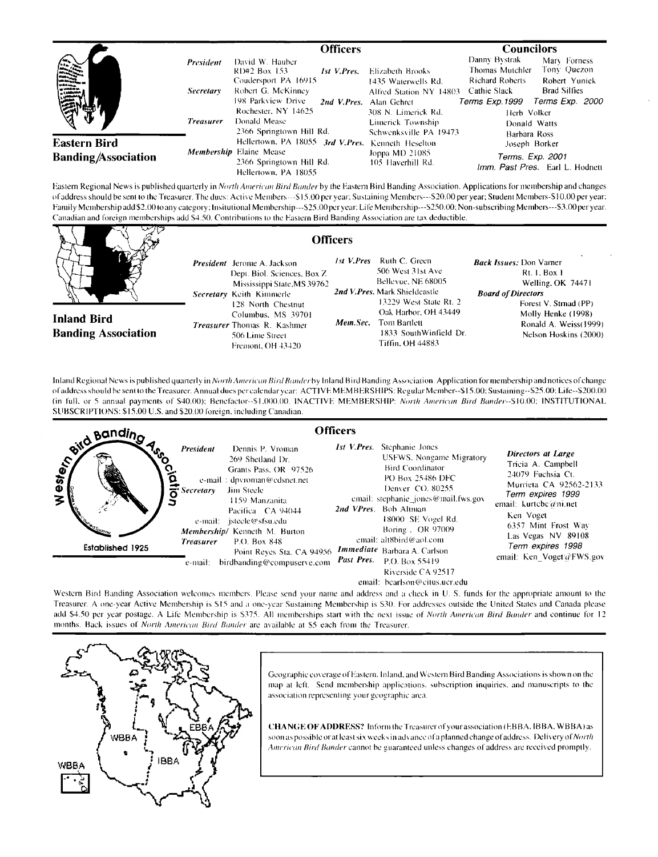|                                                    |                               | <b>Officers</b>                                                                                                                          |                                                                                   | <b>Councilors</b>                                                                                                                                                                      |
|----------------------------------------------------|-------------------------------|------------------------------------------------------------------------------------------------------------------------------------------|-----------------------------------------------------------------------------------|----------------------------------------------------------------------------------------------------------------------------------------------------------------------------------------|
|                                                    | President<br><b>Secretary</b> | David W. Hauber<br>RD#2 Box 153<br><b>Ist V.Pres.</b><br>Coudersport PA 16915<br>Robert G. McKinney<br>198 Parkview Drive<br>2nd V.Pres. | Elizabeth Brooks<br>1435 Waterwells Rd.<br>Alfred Station NY 14803<br>Alan Gehret | Danny Bystrak<br>Mary Forness<br>Tony Quezon<br>Thomas Mutchler<br><b>Richard Roberts</b><br>Robert Yunick<br><b>Brad Silfies</b><br>Cathie Slack<br>Terms Exp.1999<br>Terms Exp. 2000 |
|                                                    | <b>Treasurer</b>              | Rochester, NY 14625<br>Donald Mease<br>2366 Springtown Hill Rd.                                                                          | 308 N. Limerick Rd.<br>Limerick Township<br>Schwenksville PA 19473                | Herb Volker<br>Donald Watts<br>Barbara Ross                                                                                                                                            |
| <b>Eastern Bird</b><br><b>Banding</b> /Association |                               | Hellertown, PA 18055 3rd V.Pres. Kenneth Heselton<br><b>Membership Elaine Mease</b><br>2366 Springtown Hill Rd.<br>Hellertown, PA 18055  | Joppa MD 21085<br>105 Haverhill Rd.                                               | Joseph Borker<br>Terms. Exp. 2001<br>Imm. Past Pres. Earl L. Hodnett                                                                                                                   |

Eastern Regional News is published quarterly in *North American Bird Bander* by the Eastern Bird Banding Association. Applications for membership and changes of address should be sent to the Treasurer. The dues: Active Members---\$15.00 per year; Sustaining Members---\$20.00 per year; Student Members-510.00 per year; Family Membership add \$2.00 to any category; Insitutional Membership---\$25.00 per year; Life Membership---\$250.00; Non-subscribing Members---\$3.00 per year. Canadian and foreign memberships add \$4.50. Contributions to the Eastern Bird Banding Association are tax deductible.

**Officers** 

**Inland Bird Banding Association**  President Jerome A. Jackson Dept. Biol. Sciences, Box Z Mississippi State, MS 39762 Secretary Keith Kimmerle 128 North Chestnut Columbus. MS 39701 Treasurer Thomas R. Kashmer 506 Lime Street Fremont, OH 43420

1st V.Pres Ruth C. Green 506 West 31st Ave Bellevue, NE 68005 2nd V.Pres. Mark Shieldcastle 13229 West State Rt. 2 Oak Harbor, OH 43449 Mem.Sec. Tom Bartlett 1833 SouthWinfield Dr. Tiffin, OH 44883

Back Issues: Don Varner **Rt. 1. Box 1** Welling, OK 74471 **Board of Directors** Forest V. Strnad (PP) Molly Henke (1998) Ronald A. Weiss(1999) Nelson Hoskins (2000)

Inland Regional News is published quarterly in North American Bird Bander by Inland Bird Banding Association. Application for membership and notices of change of address should be sent to the Treasurer. Annual dues per calendar year: ACTIVE MEMBERSHIPS: Regular Member--\$15.00: Sustaining--\$25.00; Life--\$200.00 (in full, or 5 annual payments of \$40.00); Benefactor--\$1,000.00. INACTIVE MEMBERSHIP: North American Bird Bander--\$10.00; INSTITUTIONAL SUBSCRIPTIONS: \$15.00 U.S. and \$20.00 foreign, including Canadian.



Western Bird Banding Association welcomes members. Please send your name and address and a check in U. S. funds for the appropriate amount to the Treasurer. A one-year Active Membership is \$15 and a one-year Sustaining Membership is \$30. For addresses outside the United States and Canada please add \$4.50 per year postage. A Life Membership is \$375. All memberships start with the next issue of North American Bird Bander and continue for 12 months. Back issues of North American Bird Bander are available at \$5 each from the Treasurer.



Geographic coverage of Eastern. Inland, and Western Bird Banding Associations is shown on the map at left. Send membership applications, subscription inquiries, and manuscripts to the association representing your geographic area.

CHANGE OF ADDRESS? Inform the Treasurer of your association (EBBA, IBBA, WBBA) as soon as possible or at least six weeks in advance of a planned change of address. Delivery of *North* American Bird Bander cannot be guaranteed unless changes of address are received promptly.